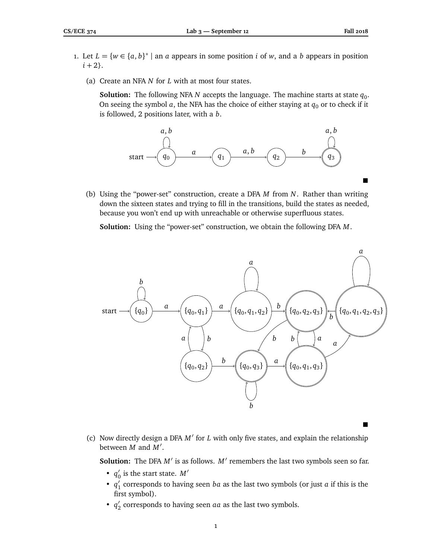- 1. Let  $L = \{w \in \{a, b\}^* \mid \text{an } a \text{ appears in some position } i \text{ of } w, \text{ and a } b \text{ appears in position } \}$  $i + 2$ .
	- (a) Create an NFA *N* for *L* with at most four states.

**Solution:** The following NFA *N* accepts the language. The machine starts at state  $q_0$ . On seeing the symbol  $a$ , the NFA has the choice of either staying at  $q_0$  or to check if it is followed, 2 positions later, with a *b*.



(b) Using the "power-set" construction, create a DFA *M* from *N*. Rather than writing down the sixteen states and trying to fill in the transitions, build the states as needed, because you won't end up with unreachable or otherwise superfluous states.

**Solution:** Using the "power-set" construction, we obtain the following DFA *M*.



- $\blacksquare$
- (c) Now directly design a DFA M' for *L* with only five states, and explain the relationship between  $\overline{M}$  and  $\overline{M}'$ .

**Solution:** The DFA  $M'$  is as follows.  $M'$  remembers the last two symbols seen so far.

- $\bullet$  *q*<sub>(</sub>  $\frac{1}{0}$  is the start state.  $M'$
- $\bullet$   $q'_1$ 1 corresponds to having seen *ba* as the last two symbols (or just *a* if this is the first symbol).
- $q'_2$  $\frac{1}{2}$  corresponds to having seen  $aa$  as the last two symbols.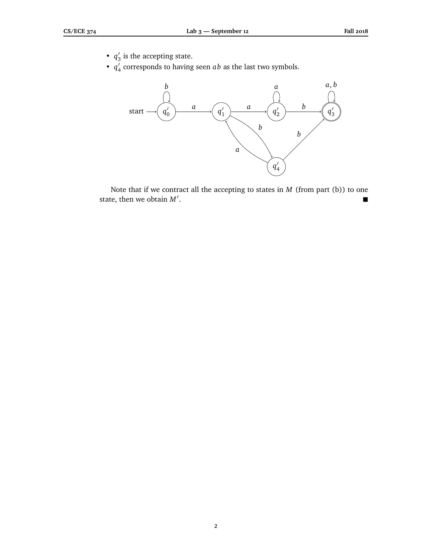- $q'$  $\frac{7}{3}$  is the accepting state.
- $q'_{\ell}$  $\frac{7}{4}$  corresponds to having seen  $ab$  as the last two symbols.



Note that if we contract all the accepting to states in *M* (from part (b)) to one state, then we obtain  $M'$ . .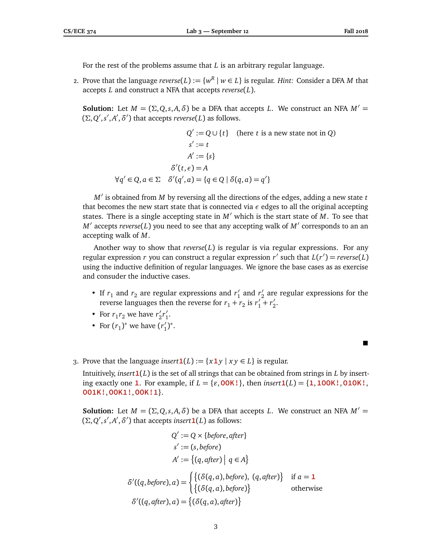For the rest of the problems assume that *L* is an arbitrary regular language.

2. Prove that the language  $reverse(L) := \{w^R \mid w \in L\}$  is regular. *Hint:* Consider a DFA  $M$  that accepts *L* and construct a NFA that accepts *reverse*(*L*).

**Solution:** Let  $M = (\Sigma, Q, s, A, \delta)$  be a DFA that accepts *L*. We construct an NFA  $M' =$  $(\Sigma, Q', s', A', \delta')$  that accepts *reverse*(*L*) as follows.

$$
Q' := Q \cup \{t\} \quad \text{(here } t \text{ is a new state not in } Q)
$$
\n
$$
s' := t
$$
\n
$$
A' := \{s\}
$$
\n
$$
\delta'(t, \epsilon) = A
$$
\n
$$
\forall q' \in Q, a \in \Sigma \quad \delta'(q', a) = \{q \in Q \mid \delta(q, a) = q'\}
$$

*M'* is obtained from *M* by reversing all the directions of the edges, adding a new state *t* that becomes the new start state that is connected via *ε* edges to all the original accepting states. There is a single accepting state in  $M'$  which is the start state of  $M$ . To see that  $M'$  accepts *reverse*(*L*) you need to see that any accepting walk of  $M'$  corresponds to an an accepting walk of *M*.

Another way to show that *reverse*(*L*) is regular is via regular expressions. For any regular expression *r* you can construct a regular expression *r'* such that  $L(r') = \text{reverse}(L)$ using the inductive definition of regular languages. We ignore the base cases as as exercise and consuder the inductive cases.

- If  $r_1$  and  $r_2$  are regular expressions and  $r_1'$  $r'_1$  and  $r'_2$  $\frac{1}{2}$  are regular expressions for the reverse languages then the reverse for  $r_1 + r_2$  is  $r_1' + r_2'$  $\frac{7}{2}$
- For  $r_1 r_2$  we have  $r'_2$  $_{2}^{\prime}r_{1}^{\prime}$  $\frac{7}{1}$
- For  $(r_1)^*$  we have  $(r'_1)$  $'_{1})^{\ast}.$
- 3. Prove that the language *insert*  $\mathbf{1}(L) := \{x \mathbf{1} y \mid x y \in L\}$  is regular.

Intuitively, *insert***1**(*L*) is the set of all strings that can be obtained from strings in *L* by inserting exactly one 1. For example, if  $L = \{\varepsilon, 00K!\}$ , then *insert*1(*L*) = {1,100K!,010K!, **OO1K!**,**OOK1!**,**OOK!1**}.

**Solution:** Let  $M = (\Sigma, Q, s, A, \delta)$  be a DFA that accepts *L*. We construct an NFA  $M' =$  $(\Sigma, Q', s', A', \delta')$  that accepts *insert* **1**(*L*) as follows:

$$
Q' := Q \times \{before, after\}
$$
  
\n
$$
s' := (s, before)
$$
  
\n
$$
A' := \{(q, after) | q \in A\}
$$
  
\n
$$
\delta'((q, before), a) = \begin{cases} \{(\delta(q, a), before), (q, after)\} & \text{if } a = 1 \\ \{(\delta(q, a), before)\} & \text{otherwise} \end{cases}
$$
  
\n
$$
\delta'((q, after), a) = \{(\delta(q, a), after)\}
$$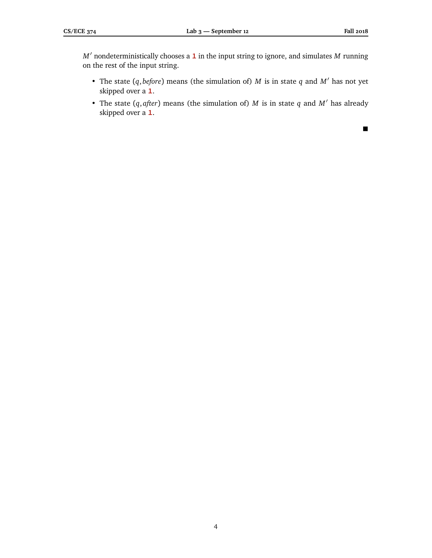*M*<sup>0</sup> nondeterministically chooses a **1** in the input string to ignore, and simulates *M* running on the rest of the input string.

- The state  $(q, before)$  means (the simulation of)  $M$  is in state  $q$  and  $M'$  has not yet skipped over a **1**.
- The state  $(q, after)$  means (the simulation of) *M* is in state *q* and *M'* has already skipped over a **1**.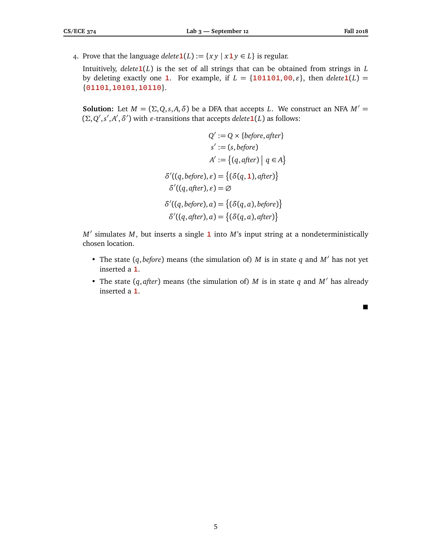4. Prove that the language *delete*  $\mathbf{1}(L) := \{ xy \mid x \mathbf{1} y \in L \}$  is regular.

Intuitively, *delete***1**(*L*) is the set of all strings that can be obtained from strings in *L* by deleting exactly one **1**. For example, if  $L = \{101101, 00, \varepsilon\}$ , then  $delete1(L)$ {**01101**,**10101**,**10110**}.

**Solution:** Let  $M = (\Sigma, Q, s, A, \delta)$  be a DFA that accepts *L*. We construct an NFA  $M' =$  $(\Sigma, Q', s', A', \delta')$  with *ε*-transitions that accepts *delete* **1**(*L*) as follows:

$$
Q' := Q \times \{before, after\}
$$

$$
s' := (s, before)
$$

$$
A' := \{(q, after) | q \in A\}
$$

$$
\delta'((q, before), \varepsilon) = \{(\delta(q, 1), after)\}
$$

$$
\delta'((q, after), \varepsilon) = \emptyset
$$

$$
\delta'((q, before), a) = \{(\delta(q, a), before)\}
$$

$$
\delta'((q, after), a) = \{(\delta(q, a), after)\}
$$

*M'* simulates *M*, but inserts a single **1** into *M*'s input string at a nondeterministically chosen location.

- The state  $(q, before)$  means (the simulation of) *M* is in state  $q$  and  $M'$  has not yet inserted a **1**.
- The state  $(q, after)$  means (the simulation of) *M* is in state *q* and *M'* has already inserted a **1**.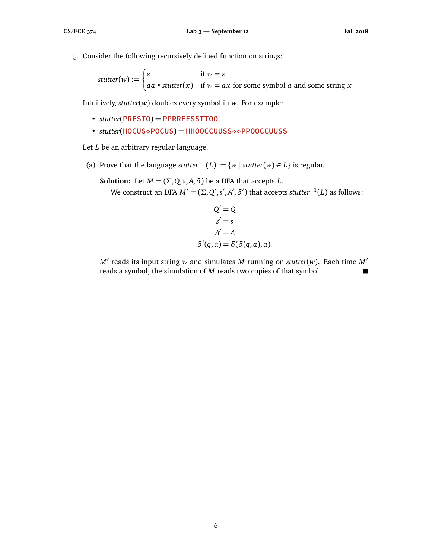5. Consider the following recursively defined function on strings:

$$
stutter(w) := \begin{cases} \varepsilon & \text{if } w = \varepsilon \\ aa \cdot stutter(x) & \text{if } w = ax \text{ for some symbol } a \text{ and some string } x \end{cases}
$$

Intuitively, *stutter*(*w*) doubles every symbol in *w*. For example:

- *stutter*(**PRESTO**) = **PPRREESSTTOO**
- *stutter*(**HOCUSPOCUS**) = **HHOOCCUUSS PPOOCCUUSS**

Let *L* be an arbitrary regular language.

 $\overline{a}$ 

(a) Prove that the language *stutter*<sup>-1</sup>(*L*) := {*w* | *stutter*(*w*) ∈ *L*} is regular.

**Solution:** Let  $M = (\Sigma, Q, s, A, \delta)$  be a DFA that accepts *L*. We construct an DFA  $M' = (\Sigma, Q', s', A', \delta')$  that accepts *stutter*<sup>−1</sup>(*L*) as follows:

$$
Q' = Q
$$
  
\n
$$
s' = s
$$
  
\n
$$
A' = A
$$
  
\n
$$
\delta'(q, a) = \delta(\delta(q, a), a)
$$

 $M'$  reads its input string  $w$  and simulates  $M$  running on  $stutter(w)$ . Each time  $M'$ reads a symbol, the simulation of *M* reads two copies of that symbol.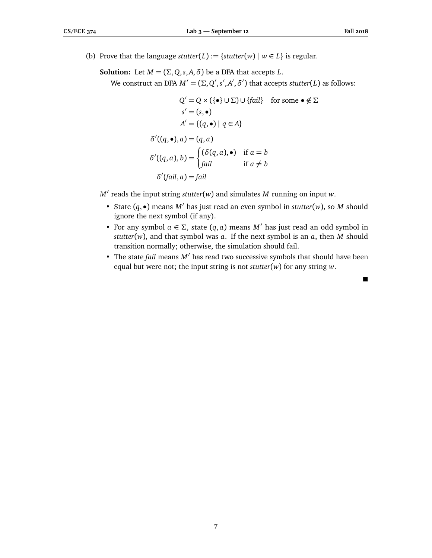(b) Prove that the language *stutter*(*L*) := {*stutter*(*w*) |  $w \in L$ } is regular.

**Solution:** Let  $M = (\Sigma, Q, s, A, \delta)$  be a DFA that accepts *L*.

We construct an DFA  $M' = (\Sigma, Q', s', A', \delta')$  that accepts *stutter*(*L*) as follows:

$$
Q' = Q \times (\{\bullet\} \cup \Sigma) \cup \{fail\} \text{ for some } \bullet \notin \Sigma
$$
  
\n
$$
s' = (s, \bullet)
$$
  
\n
$$
A' = \{(q, \bullet) \mid q \in A\}
$$
  
\n
$$
\delta'((q, \bullet), a) = (q, a)
$$
  
\n
$$
\delta'((q, a), b) = \begin{cases} (\delta(q, a), \bullet) & \text{if } a = b \\ fail & \text{if } a \neq b \end{cases}
$$
  
\n
$$
\delta'(fail, a) = fail
$$

 $M'$  reads the input string  $stutter(w)$  and simulates  $M$  running on input  $w$ .

- State  $(q, \bullet)$  means  $M'$  has just read an even symbol in *stutter*(*w*), so *M* should ignore the next symbol (if any).
- For any symbol  $a \in \Sigma$ , state  $(q, a)$  means  $M'$  has just read an odd symbol in *stutter*(*w*), and that symbol was *a*. If the next symbol is an *a*, then *M* should transition normally; otherwise, the simulation should fail.
- The state *fail* means *M'* has read two successive symbols that should have been equal but were not; the input string is not *stutter*(*w*) for any string *w*.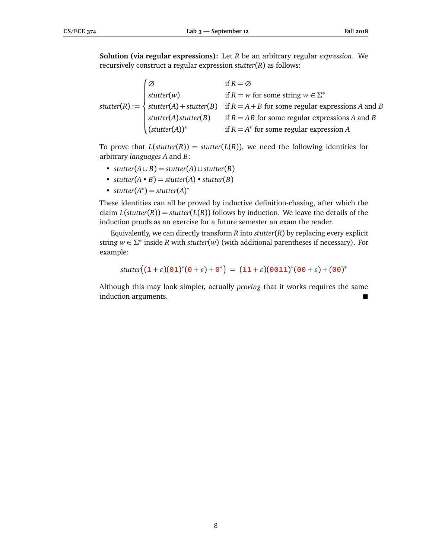**Solution (via regular expressions):** Let *R* be an arbitrary regular *expression*. We recursively construct a regular expression *stutter*(*R*) as follows:

*stutter*(*R*) :=  $\sqrt{ }$  $\begin{array}{c} \end{array}$  $\left\lfloor \frac{1}{2} \right\rfloor$ ∅ if *R* = ∅ *stutter*(*w*) if  $R = w$  for some string  $w \in \Sigma^*$ *stutter*(*A*) + *stutter*(*B*) if *R* = *A*+ *B* for some regular expressions *A* and *B stutter*(*A*)*stutter*(*B*) if *R* = *AB* for some regular expressions *A* and *B* (*stutter*(*A*))<sup>∗</sup> if *R* = *A* ∗ for some regular expression *A*

To prove that  $L(\text{stutter}(R)) = \text{stutter}(L(R))$ , we need the following identities for arbitrary *languages A* and *B*:

- *stutter*(*A*∪ *B*) = *stutter*(*A*) ∪ *stutter*(*B*)
- *stutter* $(A \cdot B) =$ *stutter* $(A) \cdot$ *stutter* $(B)$
- $stutter(A^*) = stutter(A)^*$

These identities can all be proved by inductive definition-chasing, after which the claim  $L(\text{stutter}(R)) = \text{stutter}(L(R))$  follows by induction. We leave the details of the induction proofs as an exercise for a future semester an exam the reader.

Equivalently, we can directly transform *R* into *stutter*(*R*) by replacing every explicit string  $w \in \Sigma^*$  inside *R* with *stutter*(*w*) (with additional parentheses if necessary). For example:

$$
stutter((1+\varepsilon)(01)^{*}(0+\varepsilon)+0^{*}) = (11+\varepsilon)(0011)^{*}(00+\varepsilon)+(00)^{*}
$$

Although this may look simpler, actually *proving* that it works requires the same induction arguments.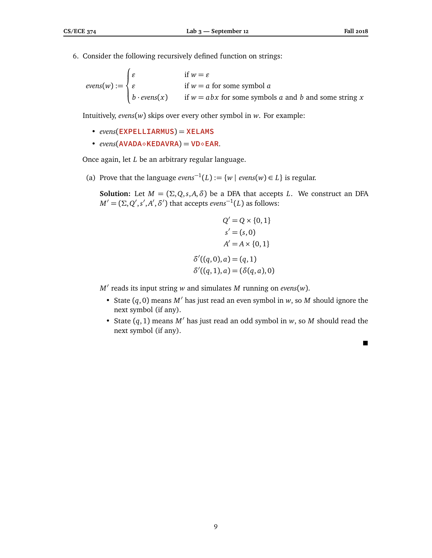6. Consider the following recursively defined function on strings:

$$
evens(w) := \begin{cases} \varepsilon & \text{if } w = \varepsilon \\ \varepsilon & \text{if } w = a \text{ for some symbol } a \\ b \cdot evens(x) & \text{if } w = abx \text{ for some symbols } a \text{ and } b \text{ and some string } x \end{cases}
$$

Intuitively, *evens*(*w*) skips over every other symbol in *w*. For example:

- *evens*(**EXPELLIARMUS**) = **XELAMS**
- $\cdot$  *evens*( $AVADA \diamond$  $KEDAVRA$ ) =  $VD \diamond EAR$ .

Once again, let *L* be an arbitrary regular language.

(a) Prove that the language  $evens^{-1}(L) := \{w \mid evens(w) \in L\}$  is regular.

**Solution:** Let  $M = (\Sigma, Q, s, A, \delta)$  be a DFA that accepts *L*. We construct an DFA  $M' = (\Sigma, Q', s', A', \delta')$  that accepts *evens*<sup>-1</sup>(*L*) as follows:

$$
Q' = Q \times \{0, 1\}
$$
  
\n
$$
s' = (s, 0)
$$
  
\n
$$
A' = A \times \{0, 1\}
$$
  
\n
$$
\delta'((q, 0), a) = (q, 1)
$$
  
\n
$$
\delta'((q, 1), a) = (\delta(q, a), 0)
$$

 $M'$  reads its input string  $w$  and simulates  $M$  running on *evens*( $w$ ).

- State  $(q, 0)$  means  $M'$  has just read an even symbol in *w*, so *M* should ignore the next symbol (if any).
- State  $(q, 1)$  means  $M'$  has just read an odd symbol in  $w$ , so  $M$  should read the next symbol (if any).